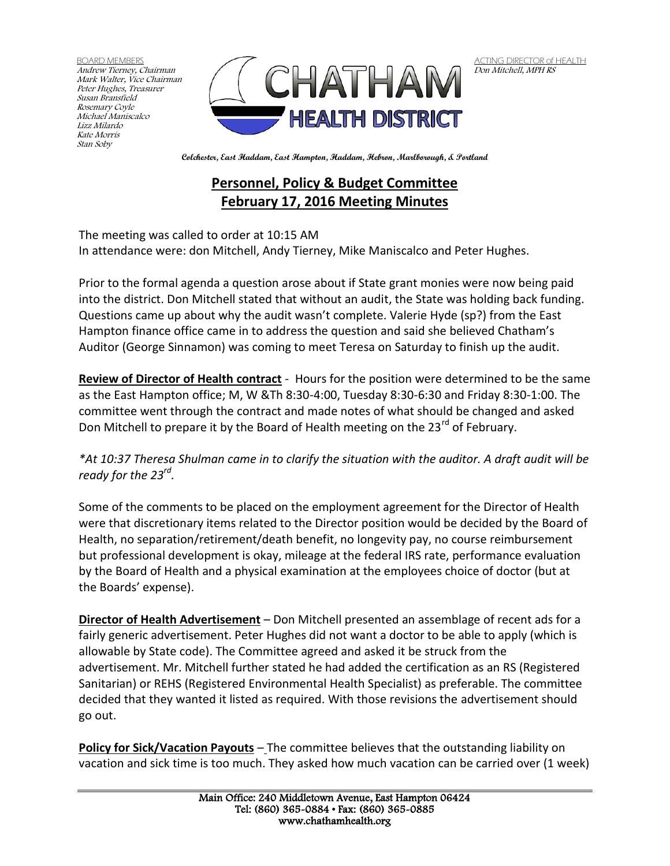BOARD MEMBERS Andrew Tierney, Chairman Mark Walter, Vice Chairman Peter Hughes, Treasurer Susan Bransfield Rosemary Coyle Michael Maniscalco Lizz Milardo Kate Morris Stan Soby



ACTING DIRECTOR of HEALTH Don Mitchell, MPH RS

**Colchester, East Haddam, East Hampton, Haddam, Hebron, Marlborough, & Portland**

## **Personnel, Policy & Budget Committee February 17, 2016 Meeting Minutes**

The meeting was called to order at 10:15 AM

In attendance were: don Mitchell, Andy Tierney, Mike Maniscalco and Peter Hughes.

Prior to the formal agenda a question arose about if State grant monies were now being paid into the district. Don Mitchell stated that without an audit, the State was holding back funding. Questions came up about why the audit wasn't complete. Valerie Hyde (sp?) from the East Hampton finance office came in to address the question and said she believed Chatham's Auditor (George Sinnamon) was coming to meet Teresa on Saturday to finish up the audit.

**Review of Director of Health contract** - Hours for the position were determined to be the same as the East Hampton office; M, W &Th 8:30-4:00, Tuesday 8:30-6:30 and Friday 8:30-1:00. The committee went through the contract and made notes of what should be changed and asked Don Mitchell to prepare it by the Board of Health meeting on the 23<sup>rd</sup> of February.

*\*At 10:37 Theresa Shulman came in to clarify the situation with the auditor. A draft audit will be ready for the 23rd .*

Some of the comments to be placed on the employment agreement for the Director of Health were that discretionary items related to the Director position would be decided by the Board of Health, no separation/retirement/death benefit, no longevity pay, no course reimbursement but professional development is okay, mileage at the federal IRS rate, performance evaluation by the Board of Health and a physical examination at the employees choice of doctor (but at the Boards' expense).

**Director of Health Advertisement** – Don Mitchell presented an assemblage of recent ads for a fairly generic advertisement. Peter Hughes did not want a doctor to be able to apply (which is allowable by State code). The Committee agreed and asked it be struck from the advertisement. Mr. Mitchell further stated he had added the certification as an RS (Registered Sanitarian) or REHS (Registered Environmental Health Specialist) as preferable. The committee decided that they wanted it listed as required. With those revisions the advertisement should go out.

**Policy for Sick/Vacation Payouts** – The committee believes that the outstanding liability on vacation and sick time is too much. They asked how much vacation can be carried over (1 week)